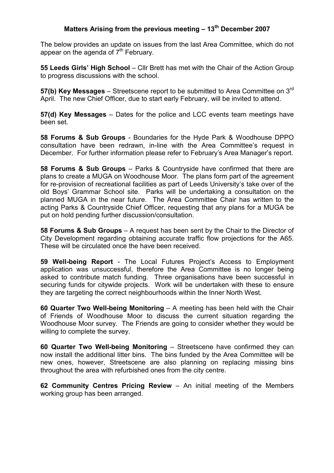## Matters Arising from the previous meeting  $-13<sup>th</sup>$  December 2007

The below provides an update on issues from the last Area Committee, which do not appear on the agenda of  $7<sup>th</sup>$  February.

55 Leeds Girls' High School – Cllr Brett has met with the Chair of the Action Group to progress discussions with the school.

57(b) Key Messages – Streetscene report to be submitted to Area Committee on  $3<sup>rd</sup>$ April. The new Chief Officer, due to start early February, will be invited to attend.

57(d) Key Messages – Dates for the police and LCC events team meetings have been set.

58 Forums & Sub Groups - Boundaries for the Hyde Park & Woodhouse DPPO consultation have been redrawn, in-line with the Area Committee's request in December. For further information please refer to February's Area Manager's report.

58 Forums & Sub Groups – Parks & Countryside have confirmed that there are plans to create a MUGA on Woodhouse Moor. The plans form part of the agreement for re-provision of recreational facilities as part of Leeds University's take over of the old Boys' Grammar School site. Parks will be undertaking a consultation on the planned MUGA in the near future. The Area Committee Chair has written to the acting Parks & Countryside Chief Officer, requesting that any plans for a MUGA be put on hold pending further discussion/consultation.

58 Forums & Sub Groups – A request has been sent by the Chair to the Director of City Development regarding obtaining accurate traffic flow projections for the A65. These will be circulated once the have been received.

59 Well-being Report - The Local Futures Project's Access to Employment application was unsuccessful, therefore the Area Committee is no longer being asked to contribute match funding. Three organisations have been successful in securing funds for citywide projects. Work will be undertaken with these to ensure they are targeting the correct neighbourhoods within the Inner North West.

60 Quarter Two Well-being Monitoring – A meeting has been held with the Chair of Friends of Woodhouse Moor to discuss the current situation regarding the Woodhouse Moor survey. The Friends are going to consider whether they would be willing to complete the survey.

60 Quarter Two Well-being Monitoring – Streetscene have confirmed they can now install the additional litter bins. The bins funded by the Area Committee will be new ones, however, Streetscene are also planning on replacing missing bins throughout the area with refurbished ones from the city centre.

62 Community Centres Pricing Review – An initial meeting of the Members working group has been arranged.